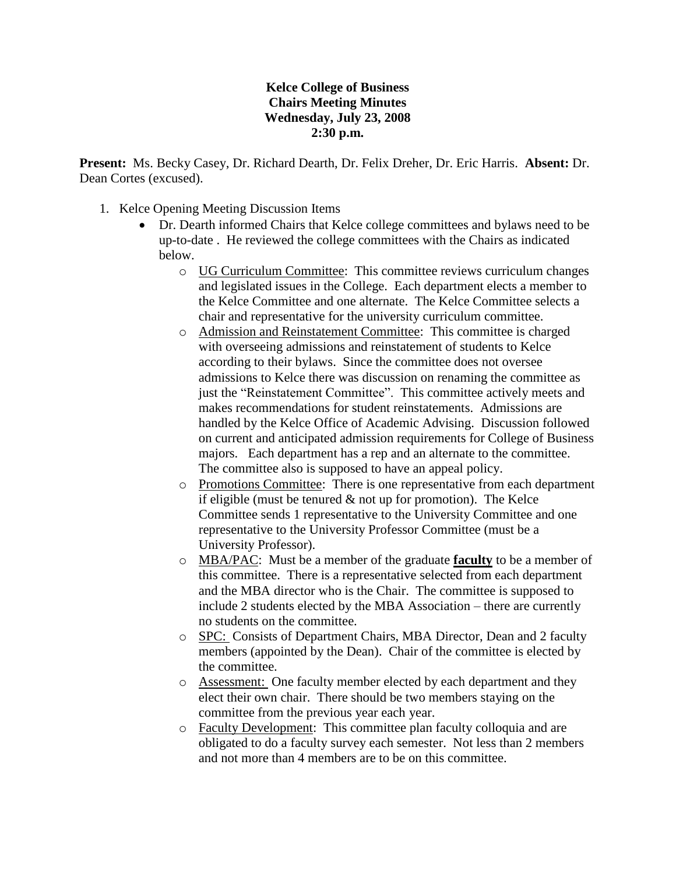## **Kelce College of Business Chairs Meeting Minutes Wednesday, July 23, 2008 2:30 p.m.**

**Present:** Ms. Becky Casey, Dr. Richard Dearth, Dr. Felix Dreher, Dr. Eric Harris. **Absent:** Dr. Dean Cortes (excused).

- 1. Kelce Opening Meeting Discussion Items
	- Dr. Dearth informed Chairs that Kelce college committees and bylaws need to be up-to-date . He reviewed the college committees with the Chairs as indicated below.
		- o UG Curriculum Committee: This committee reviews curriculum changes and legislated issues in the College. Each department elects a member to the Kelce Committee and one alternate. The Kelce Committee selects a chair and representative for the university curriculum committee.
		- o Admission and Reinstatement Committee: This committee is charged with overseeing admissions and reinstatement of students to Kelce according to their bylaws. Since the committee does not oversee admissions to Kelce there was discussion on renaming the committee as just the "Reinstatement Committee". This committee actively meets and makes recommendations for student reinstatements. Admissions are handled by the Kelce Office of Academic Advising. Discussion followed on current and anticipated admission requirements for College of Business majors. Each department has a rep and an alternate to the committee. The committee also is supposed to have an appeal policy.
		- o Promotions Committee: There is one representative from each department if eligible (must be tenured  $\&$  not up for promotion). The Kelce Committee sends 1 representative to the University Committee and one representative to the University Professor Committee (must be a University Professor).
		- o MBA/PAC: Must be a member of the graduate **faculty** to be a member of this committee. There is a representative selected from each department and the MBA director who is the Chair. The committee is supposed to include 2 students elected by the MBA Association – there are currently no students on the committee.
		- o SPC: Consists of Department Chairs, MBA Director, Dean and 2 faculty members (appointed by the Dean). Chair of the committee is elected by the committee.
		- o Assessment: One faculty member elected by each department and they elect their own chair. There should be two members staying on the committee from the previous year each year.
		- o Faculty Development: This committee plan faculty colloquia and are obligated to do a faculty survey each semester. Not less than 2 members and not more than 4 members are to be on this committee.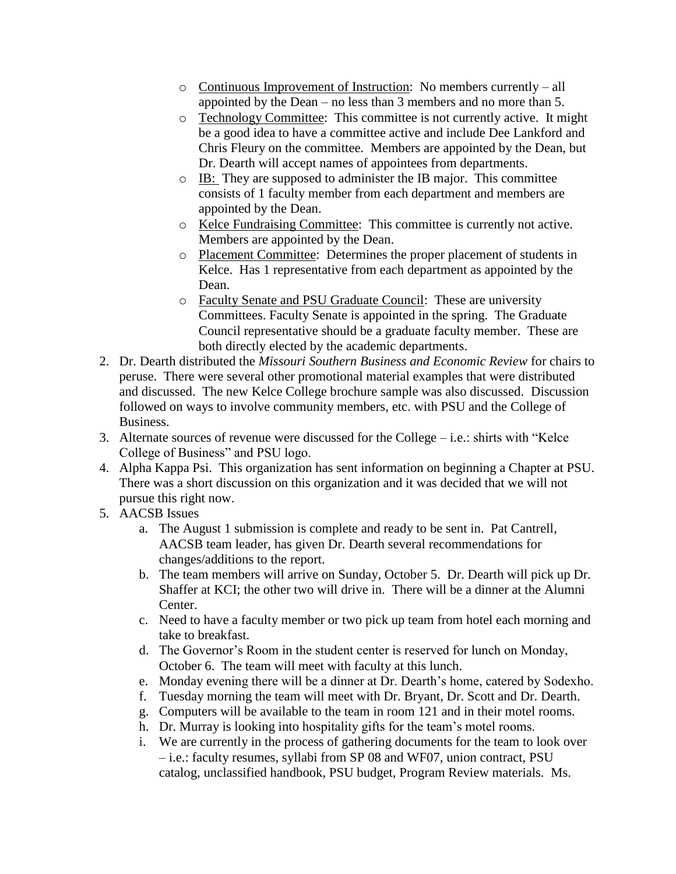- o Continuous Improvement of Instruction: No members currently all appointed by the Dean – no less than 3 members and no more than 5.
- o Technology Committee: This committee is not currently active. It might be a good idea to have a committee active and include Dee Lankford and Chris Fleury on the committee. Members are appointed by the Dean, but Dr. Dearth will accept names of appointees from departments.
- o IB: They are supposed to administer the IB major. This committee consists of 1 faculty member from each department and members are appointed by the Dean.
- o Kelce Fundraising Committee: This committee is currently not active. Members are appointed by the Dean.
- o Placement Committee: Determines the proper placement of students in Kelce. Has 1 representative from each department as appointed by the Dean.
- o Faculty Senate and PSU Graduate Council: These are university Committees. Faculty Senate is appointed in the spring. The Graduate Council representative should be a graduate faculty member. These are both directly elected by the academic departments.
- 2. Dr. Dearth distributed the *Missouri Southern Business and Economic Review* for chairs to peruse. There were several other promotional material examples that were distributed and discussed. The new Kelce College brochure sample was also discussed. Discussion followed on ways to involve community members, etc. with PSU and the College of Business.
- 3. Alternate sources of revenue were discussed for the College i.e.: shirts with "Kelce College of Business" and PSU logo.
- 4. Alpha Kappa Psi. This organization has sent information on beginning a Chapter at PSU. There was a short discussion on this organization and it was decided that we will not pursue this right now.
- 5. AACSB Issues
	- a. The August 1 submission is complete and ready to be sent in. Pat Cantrell, AACSB team leader, has given Dr. Dearth several recommendations for changes/additions to the report.
	- b. The team members will arrive on Sunday, October 5. Dr. Dearth will pick up Dr. Shaffer at KCI; the other two will drive in. There will be a dinner at the Alumni Center.
	- c. Need to have a faculty member or two pick up team from hotel each morning and take to breakfast.
	- d. The Governor's Room in the student center is reserved for lunch on Monday, October 6. The team will meet with faculty at this lunch.
	- e. Monday evening there will be a dinner at Dr. Dearth's home, catered by Sodexho.
	- f. Tuesday morning the team will meet with Dr. Bryant, Dr. Scott and Dr. Dearth.
	- g. Computers will be available to the team in room 121 and in their motel rooms.
	- h. Dr. Murray is looking into hospitality gifts for the team's motel rooms.
	- i. We are currently in the process of gathering documents for the team to look over – i.e.: faculty resumes, syllabi from SP 08 and WF07, union contract, PSU catalog, unclassified handbook, PSU budget, Program Review materials. Ms.